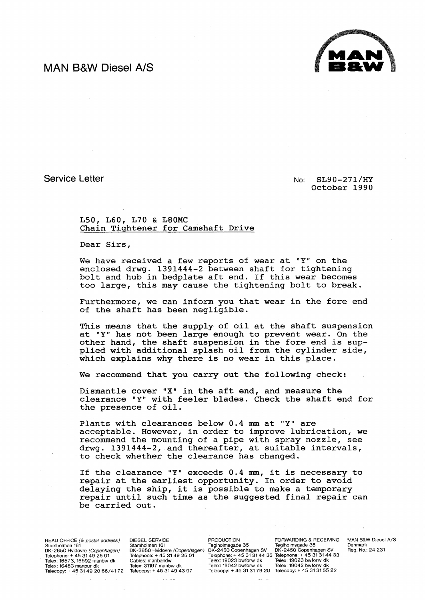## **MAN B&W Diesel AlS**



Service Letter

No: SL90-271/HY October 1990

## LSO, L60, L70 & L80MC Chain Tightener for Camshaft Drive

Dear Sirs,

We have received a few reports of wear at "Y" on the enclosed drwg. 1391444-2 between shaft for tightening bolt and hub in bedplate aft end. If this wear becomes too large, this may cause the tightening bolt to break.

Furthermore, we can inform you that wear in the fore end of the shaft has been negligible.

This means that the supply of oil at the shaft suspension at "Y" has not been large enough to prevent wear. On the other hand, the shaft suspension in the fore end is supplied with additional splash oil from the cylinder side, which explains why there is no wear in this place.

We recommend that you carry out the following check:

Dismantle cover "X" in the aft end, and measure the clearance "Y" with feeler blades. Check the shaft end for the presence of oil.

Plants with clearances below 0.4 mm at "Y" are acceptable. However, in order to improve lubrication, we recommend the mounting of a pipe with spray nozzle, see drwg. 1391444-2, and thereafter, at suitable intervals, to check whether the clearance has changed.

If the clearance "Y" exceeds 0.4 mm, it is necessary to repair at the earliest opportunity. In order to avoid delaying the ship, it is possible to make a temporary repair until such time as the suggested final repair can be carried out.

HEAD OFFICE (& postal address) Stamholmen 161<br>DK-2650 Hvidovre *(Copenhagen)* Telephone: + 45 31 49 25 01 Telex: 16573. 16592 manbw dk Telex: 16483 manpur dk Telecopy: + 45 31 49 2066/4172 Telecopy: + 45 31 49 43 97

DIESEL SERVICE Stamholmen 161 **Teglholmsgade 35** Teglholmsgade 35<br>DK-2650 Hvidovre (Copenhagen) DK-2450 Copenhagen SV DK-2450 Copenhagen SV Telephone: + 45 31 49 25 01 Cables: manbandw Telex: 31197 manbw dk

Telephone: + 45 31 31 44 33 Telephone: + 45 31 31 44 33 Telex: 19023 bwforw dk Telex: 19023 bwforw dk Telex: 19042 bwforw dk Telex: 19042 bwforw dk Telecopy: + 45 31 31 79 20 Telecopy: + 45 31 31 55 22

PRODUCTION FORWARDING & RECEIVING<br>Teglholmsgade 35 Feglholmsgade 35<br>DK-2450 Copenhagen SV DK-2450 Copenhagen SV

MAN B&W Diesel A/S Denmark Reg. No.: 24 231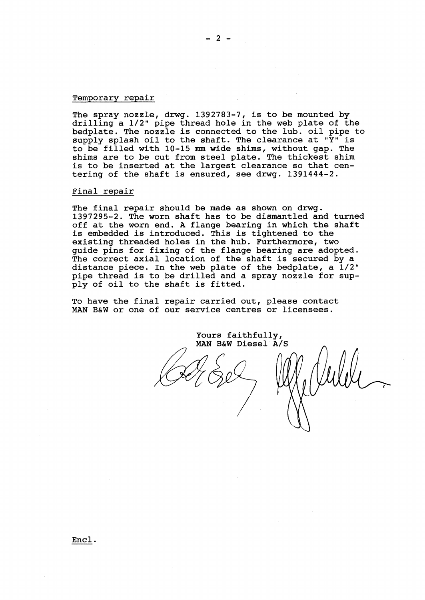## Temporary repair

The spray nozzle, drwg. 1392783-7, is to be mounted by drilling a 1/2" pipe thread hole in the web plate of the bedplate. The nozzle is connected to the lub. oil pipe to supply splash oil to the shaft. The clearance at "Y" is to be filled with 10-15 mm wide shims, without gap. The shims are to be cut from steel plate. The thickest shim is to be inserted at the largest clearance so that centering of the shaft is ensured, see drwg. 1391444-2.

## Final repair

The final repair should be made as shown on drwg. 1397295-2. The worn shaft has to be dismantled and turned off at the worn end. A flange bearing in which the shaft is embedded is introduced. This is tightened to the existing threaded holes in the hub. Furthermore, two guide pins for fixing of the flange bearing are adopted. The correct axial location of the shaft is secured by a distance piece. In the web plate of the bedplate, a 1/2" pipe thread is to be drilled and a spray nozzle for supply of oil to the shaft is fitted.

To have the final repair carried out, please contact MAN B&W or one of our service centres or licensees.

Yours faithfully, MAN B&W Diesel A/S

Encl.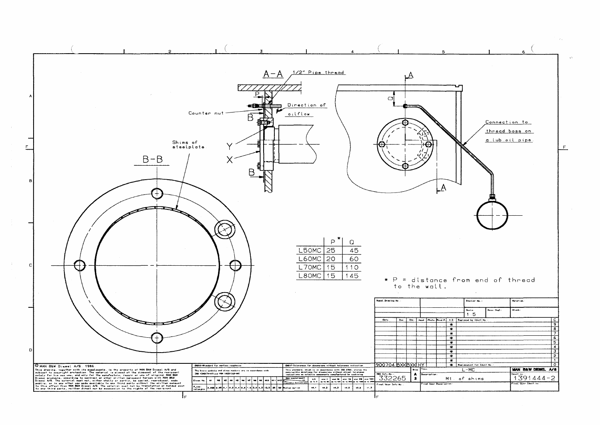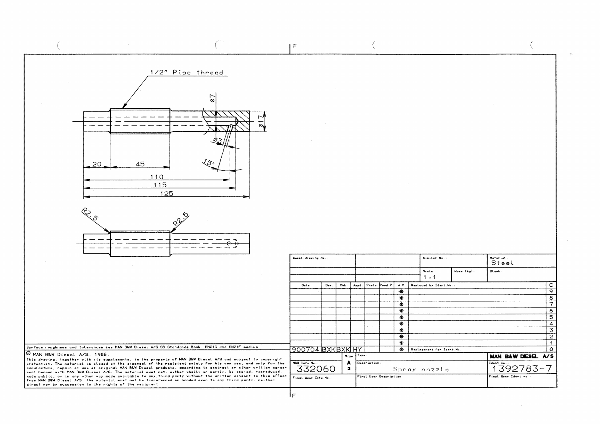